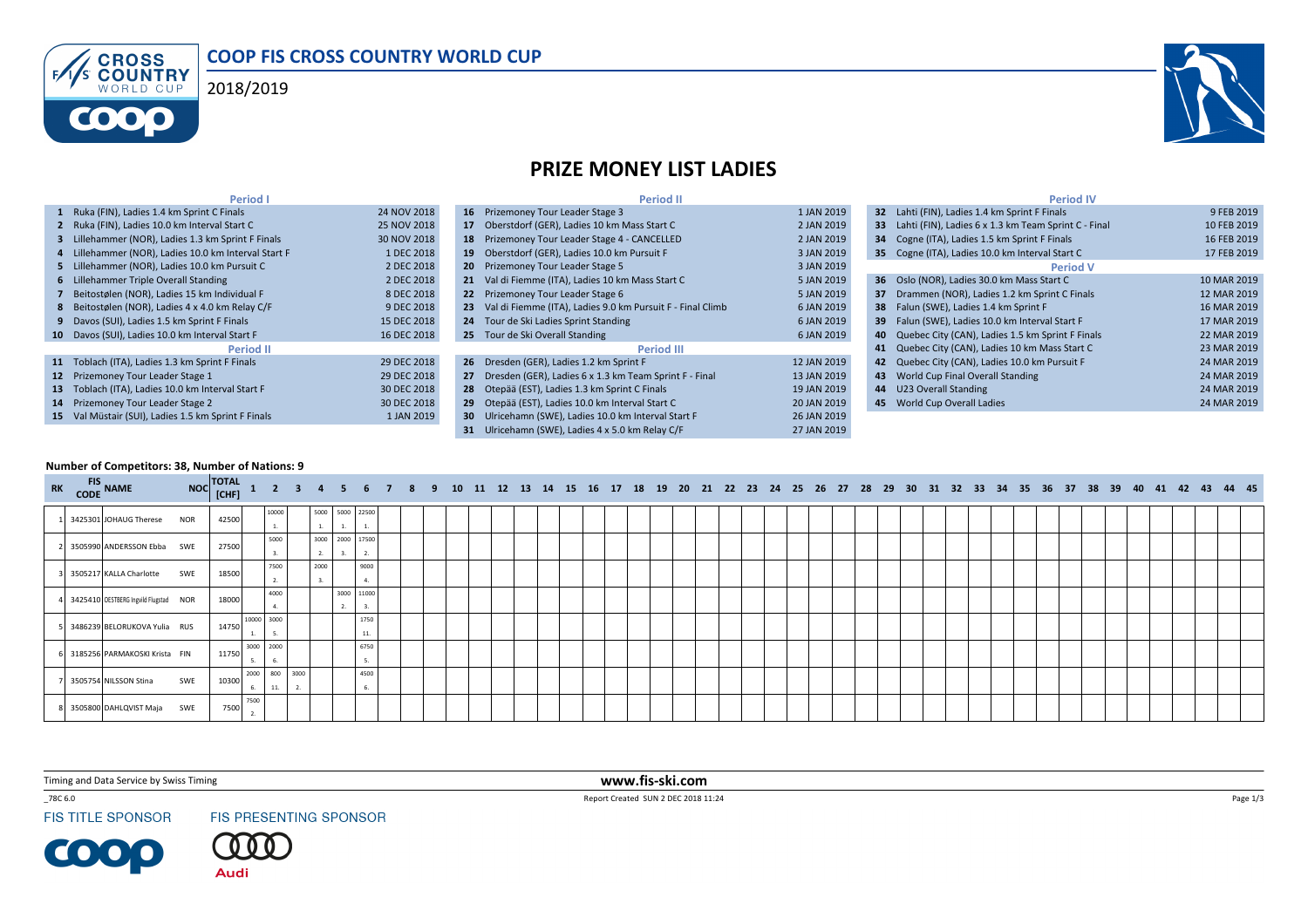





## PRIZE MONEY LIST LADIES

| <b>Period I</b>                                      |             | <b>Period II</b>                                              |             | <b>Period IV</b>                                        |             |
|------------------------------------------------------|-------------|---------------------------------------------------------------|-------------|---------------------------------------------------------|-------------|
| 1 Ruka (FIN), Ladies 1.4 km Sprint C Finals          | 24 NOV 2018 | 16 Prizemoney Tour Leader Stage 3                             | 1 JAN 2019  | 32 Lahti (FIN), Ladies 1.4 km Sprint F Finals           | 9 FEB 2019  |
| 2 Ruka (FIN), Ladies 10.0 km Interval Start C        | 25 NOV 2018 | 17 Oberstdorf (GER), Ladies 10 km Mass Start C                | 2 JAN 2019  | 33 Lahti (FIN), Ladies 6 x 1.3 km Team Sprint C - Final | 10 FEB 2019 |
| 3 Lillehammer (NOR), Ladies 1.3 km Sprint F Finals   | 30 NOV 2018 | 18 Prizemoney Tour Leader Stage 4 - CANCELLED                 | 2 JAN 2019  | 34 Cogne (ITA), Ladies 1.5 km Sprint F Finals           | 16 FEB 2019 |
| 4 Lillehammer (NOR), Ladies 10.0 km Interval Start F | 1 DEC 2018  | 19 Oberstdorf (GER), Ladies 10.0 km Pursuit F                 | 3 JAN 2019  | 35 Cogne (ITA), Ladies 10.0 km Interval Start C         | 17 FEB 2019 |
| 5 Lillehammer (NOR), Ladies 10.0 km Pursuit C        | 2 DEC 2018  | 20 Prizemoney Tour Leader Stage 5                             | 3 JAN 2019  | <b>Period V</b>                                         |             |
| 6 Lillehammer Triple Overall Standing                | 2 DEC 2018  | 21 Val di Fiemme (ITA), Ladies 10 km Mass Start C             | 5 JAN 2019  | 36 Oslo (NOR), Ladies 30.0 km Mass Start C              | 10 MAR 2019 |
| 7 Beitostølen (NOR), Ladies 15 km Individual F       | 8 DEC 2018  | 22 Prizemoney Tour Leader Stage 6                             | 5 JAN 2019  | 37 Drammen (NOR), Ladies 1.2 km Sprint C Finals         | 12 MAR 2019 |
| 8 Beitostølen (NOR), Ladies 4 x 4.0 km Relay C/F     | 9 DEC 2018  | 23 Val di Fiemme (ITA), Ladies 9.0 km Pursuit F - Final Climb | 6 JAN 2019  | 38 Falun (SWE), Ladies 1.4 km Sprint F                  | 16 MAR 2019 |
| 9 Davos (SUI), Ladies 1.5 km Sprint F Finals         | 15 DEC 2018 | 24 Tour de Ski Ladies Sprint Standing                         | 6 JAN 2019  | 39 Falun (SWE), Ladies 10.0 km Interval Start F         | 17 MAR 2019 |
| 10 Davos (SUI), Ladies 10.0 km Interval Start F      | 16 DEC 2018 | 25 Tour de Ski Overall Standing                               | 6 JAN 2019  | 40 Quebec City (CAN), Ladies 1.5 km Sprint F Finals     | 22 MAR 2019 |
| <b>Period II</b>                                     |             | Period III                                                    |             | 41 Quebec City (CAN), Ladies 10 km Mass Start C         | 23 MAR 2019 |
| 11 Toblach (ITA), Ladies 1.3 km Sprint F Finals      | 29 DEC 2018 | 26 Dresden (GER), Ladies 1.2 km Sprint F                      | 12 JAN 2019 | 42 Quebec City (CAN), Ladies 10.0 km Pursuit F          | 24 MAR 2019 |
| 12 Prizemoney Tour Leader Stage 1                    | 29 DEC 2018 | 27 Dresden (GER), Ladies 6 x 1.3 km Team Sprint F - Final     | 13 JAN 2019 | 43 World Cup Final Overall Standing                     | 24 MAR 2019 |
| 13 Toblach (ITA), Ladies 10.0 km Interval Start F    | 30 DEC 2018 | 28 Otepää (EST), Ladies 1.3 km Sprint C Finals                | 19 JAN 2019 | 44 U23 Overall Standing                                 | 24 MAR 2019 |
| 14 Prizemoney Tour Leader Stage 2                    | 30 DEC 2018 | 29 Otepää (EST), Ladies 10.0 km Interval Start C              | 20 JAN 2019 | 45 World Cup Overall Ladies                             | 24 MAR 2019 |
| 15 Val Müstair (SUI), Ladies 1.5 km Sprint F Finals  | 1 JAN 2019  | 30 Ulricehamn (SWE), Ladies 10.0 km Interval Start F          | 26 JAN 2019 |                                                         |             |
|                                                      |             | 31 Ulricehamn (SWE), Ladies 4 x 5.0 km Relay C/F              | 27 JAN 2019 |                                                         |             |

## Number of Competitors: 38, Number of Nations: 9

| RK CODE NAME |                                       |     | NOC TOTAL 1 2 3 4 5 6 7 8 9 10 11 12 13 14 15 16 17 18 19 20 21 22 23 24 25 26 27 28 29 30 31 32 33 34 35 36 37 38 39 40 41 42 43 44 45 |                 |            |      |                         |             |  |  |  |  |  |  |  |  |  |  |  |  |  |  |  |  |  |  |  |
|--------------|---------------------------------------|-----|-----------------------------------------------------------------------------------------------------------------------------------------|-----------------|------------|------|-------------------------|-------------|--|--|--|--|--|--|--|--|--|--|--|--|--|--|--|--|--|--|--|
|              | 3425301 JOHAUG Therese NOR            |     | 42500                                                                                                                                   |                 | 10000      |      | 5000 5000 22500         |             |  |  |  |  |  |  |  |  |  |  |  |  |  |  |  |  |  |  |  |
|              | 3505990 ANDERSSON Ebba SWE            |     | 27500                                                                                                                                   |                 | 5000<br>3. | 2.   | 3000 2000 17500         | 2.          |  |  |  |  |  |  |  |  |  |  |  |  |  |  |  |  |  |  |  |
|              | 3505217 KALLA Charlotte SWE           |     | 18500                                                                                                                                   |                 | 7500<br>2. | 2000 |                         | 9000        |  |  |  |  |  |  |  |  |  |  |  |  |  |  |  |  |  |  |  |
|              | 3425410 OESTBERG Ingvild Flugstad NOR |     | 18000                                                                                                                                   |                 | 4000<br>4. |      | 3000 11000<br><b>L.</b> | 3.          |  |  |  |  |  |  |  |  |  |  |  |  |  |  |  |  |  |  |  |
|              | 3486239 BELORUKOVA Yulia RUS          |     | 14750                                                                                                                                   | 10000 3000      | 5.         |      |                         | 1750<br>11. |  |  |  |  |  |  |  |  |  |  |  |  |  |  |  |  |  |  |  |
|              | 3185256 PARMAKOSKI Krista FIN         |     | 11750                                                                                                                                   | 3000 2000<br>5. | 6.         |      |                         | 6750<br>5.  |  |  |  |  |  |  |  |  |  |  |  |  |  |  |  |  |  |  |  |
|              | 3505754 NILSSON Stina                 | SWE | 10300                                                                                                                                   | 2000 800 3000   | 11.        |      |                         | 4500        |  |  |  |  |  |  |  |  |  |  |  |  |  |  |  |  |  |  |  |
|              | 3505800 DAHLQVIST Maja SWE            |     | 7500                                                                                                                                    | 7500            |            |      |                         |             |  |  |  |  |  |  |  |  |  |  |  |  |  |  |  |  |  |  |  |

Timing and Data Service by Swiss Timing

 $\_78C$ 6.0

**FIS TITLE SPONSOR** 

**COOP** 

FIS PRESENTING SPONSOR

. 0 -0 **Audi** 

 www.fis-ski.comReport Created SUN 2 DEC 2018 11:24

Page  $1/3$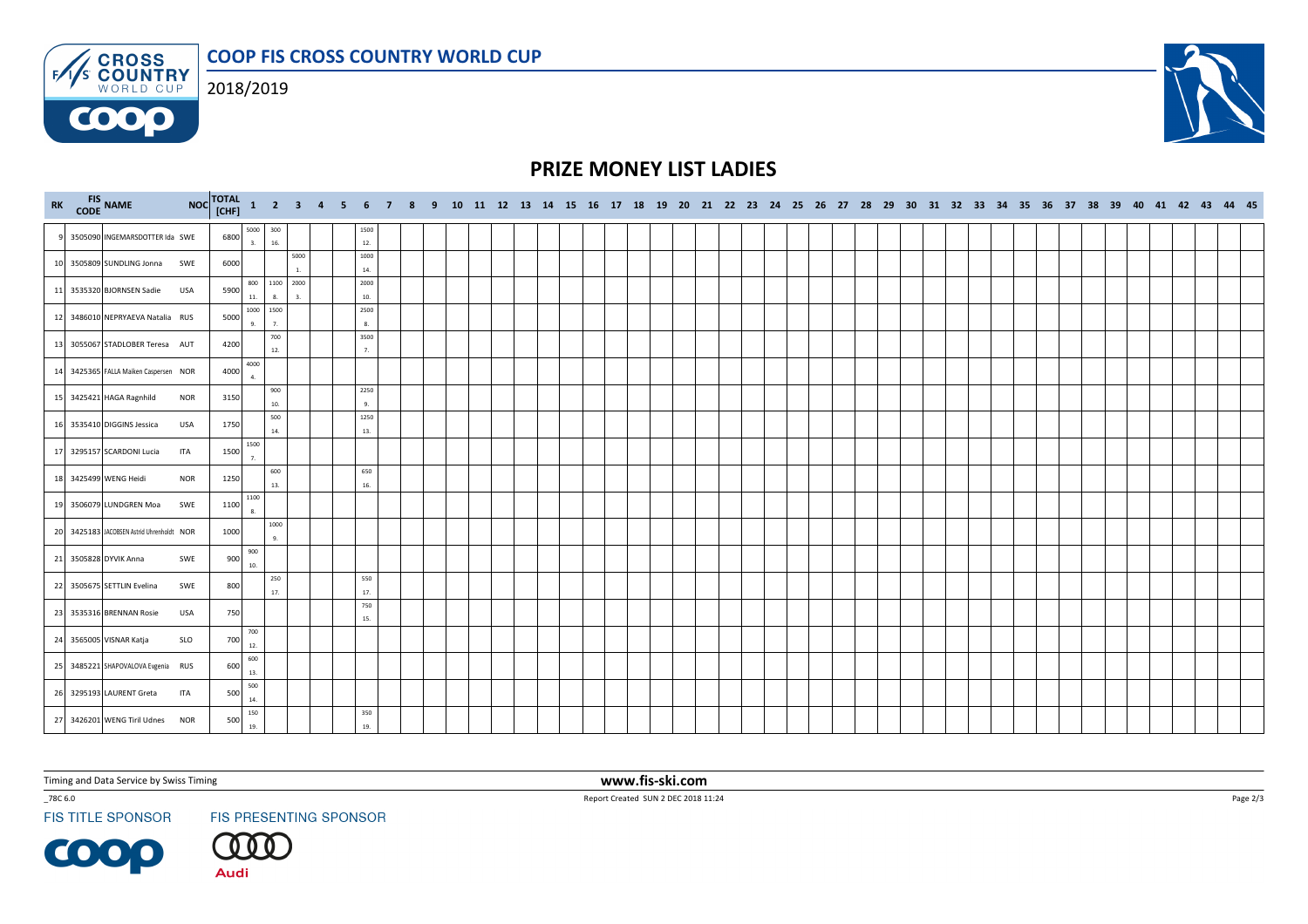COOP FIS CROSS COUNTRY WORLD CUP**ENS CROSS** 



**COOO** 



## PRIZE MONEY LIST LADIES

| RK CODE NAME                              |            |      |                           |            |                 |  |                  |  |  |  |  |  |  |  |  |  |  |  |  |  |  |  |  |  | NOC TOTAL 1 2 3 4 5 6 7 8 9 10 11 12 13 14 15 16 17 18 19 20 21 22 23 24 25 26 27 28 29 30 31 32 33 34 35 36 37 38 39 40 41 42 43 44 45 |
|-------------------------------------------|------------|------|---------------------------|------------|-----------------|--|------------------|--|--|--|--|--|--|--|--|--|--|--|--|--|--|--|--|--|-----------------------------------------------------------------------------------------------------------------------------------------|
| 9 3505090 INGEMARSDOTTER Ida SWE          |            | 6800 | 5000<br>3.                | 300<br>16. |                 |  | 1500<br>12.      |  |  |  |  |  |  |  |  |  |  |  |  |  |  |  |  |  |                                                                                                                                         |
| 10 3505809 SUNDLING Jonna SWE             |            | 6000 |                           |            | 5000            |  | 1000<br>$14. \,$ |  |  |  |  |  |  |  |  |  |  |  |  |  |  |  |  |  |                                                                                                                                         |
| 11 3535320 BJORNSEN Sadie USA             |            | 5900 | 800<br>$11.$              | 8.         | 1100 2000<br>3. |  | 2000<br>10.      |  |  |  |  |  |  |  |  |  |  |  |  |  |  |  |  |  |                                                                                                                                         |
| 12 3486010 NEPRYAEVA Natalia RUS          |            | 5000 | 1000 1500<br>$\mathbf{q}$ | 7.         |                 |  | 2500<br>8.       |  |  |  |  |  |  |  |  |  |  |  |  |  |  |  |  |  |                                                                                                                                         |
| 13 3055067 STADLOBER Teresa AUT           |            | 4200 |                           | 700<br>12. |                 |  | 3500<br>7.       |  |  |  |  |  |  |  |  |  |  |  |  |  |  |  |  |  |                                                                                                                                         |
| 14 3425365 FALLA Maiken Caspersen NOR     |            | 4000 | 4000<br>4.                |            |                 |  |                  |  |  |  |  |  |  |  |  |  |  |  |  |  |  |  |  |  |                                                                                                                                         |
| 15 3425421 HAGA Ragnhild                  | <b>NOR</b> | 3150 |                           | 900<br>10. |                 |  | 2250<br>9.       |  |  |  |  |  |  |  |  |  |  |  |  |  |  |  |  |  |                                                                                                                                         |
| 16 3535410 DIGGINS Jessica                | <b>USA</b> | 1750 |                           | 500<br>14. |                 |  | 1250<br>13.      |  |  |  |  |  |  |  |  |  |  |  |  |  |  |  |  |  |                                                                                                                                         |
| 17 3295157 SCARDONI Lucia                 | ITA        | 1500 | 1500<br>7.                |            |                 |  |                  |  |  |  |  |  |  |  |  |  |  |  |  |  |  |  |  |  |                                                                                                                                         |
| 18 3425499 WENG Heidi                     | <b>NOR</b> | 1250 |                           | 600<br>13. |                 |  | 650<br>16.       |  |  |  |  |  |  |  |  |  |  |  |  |  |  |  |  |  |                                                                                                                                         |
| 19 3506079 LUNDGREN Moa                   | SWE        | 1100 | 1100<br>8.                |            |                 |  |                  |  |  |  |  |  |  |  |  |  |  |  |  |  |  |  |  |  |                                                                                                                                         |
| 20 3425183 JACOBSEN Astrid Uhrenholdt NOR |            | 1000 |                           | 1000<br>9. |                 |  |                  |  |  |  |  |  |  |  |  |  |  |  |  |  |  |  |  |  |                                                                                                                                         |
| 21 3505828 DYVIK Anna                     | SWE        | 900  | 900<br>10.                |            |                 |  |                  |  |  |  |  |  |  |  |  |  |  |  |  |  |  |  |  |  |                                                                                                                                         |
| 22 3505675 SETTLIN Evelina                | SWE        | 800  |                           | 250<br>17. |                 |  | 550<br>17.       |  |  |  |  |  |  |  |  |  |  |  |  |  |  |  |  |  |                                                                                                                                         |
| 23 3535316 BRENNAN Rosie                  | USA        | 750  |                           |            |                 |  | 750<br>15.       |  |  |  |  |  |  |  |  |  |  |  |  |  |  |  |  |  |                                                                                                                                         |
| 24 3565005 VISNAR Katja                   | SLO        | 700  | 700<br>12.                |            |                 |  |                  |  |  |  |  |  |  |  |  |  |  |  |  |  |  |  |  |  |                                                                                                                                         |
| 25 3485221 SHAPOVALOVA Evgenia RUS        |            | 600  | 600<br>13.                |            |                 |  |                  |  |  |  |  |  |  |  |  |  |  |  |  |  |  |  |  |  |                                                                                                                                         |
| 26 3295193 LAURENT Greta                  | ITA        | 500  | 500<br>14.                |            |                 |  |                  |  |  |  |  |  |  |  |  |  |  |  |  |  |  |  |  |  |                                                                                                                                         |
| 27 3426201 WENG Tiril Udnes NOR           |            | 500  | 150<br>19.                |            |                 |  | 350<br>19.       |  |  |  |  |  |  |  |  |  |  |  |  |  |  |  |  |  |                                                                                                                                         |

Timing and Data Service by Swiss Timing

 $\_78C$ 6.0

**FIS TITLE SPONSOR** 

**COOP** 

FIS PRESENTING SPONSOR

(000

**Audi** 

 www.fis-ski.comReport Created SUN 2 DEC 2018 11:24